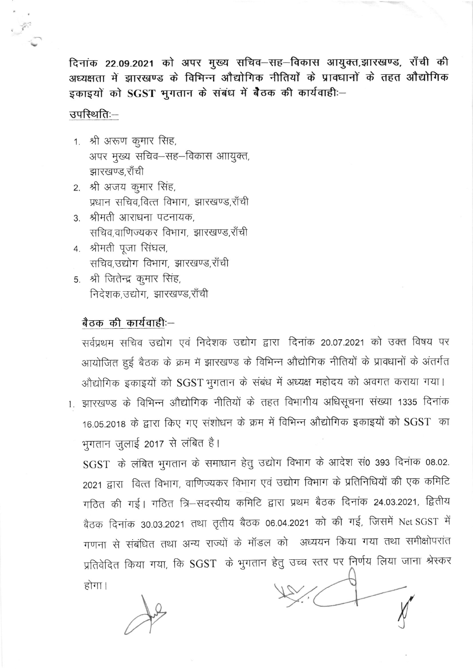दिनांक 22.09.2021 को अपर मुख्य सचिव–सह–विकास आयुक्त,झारखण्ड, राँची की अध्यक्षता में झारखण्ड के विभिन्न औद्योगिक नीतियों के प्रावधानों के तहत औद्योगिक इकाइयों को SGST भुगतान के संबंध में बैठक की कार्यवाही:-

## उपस्थिति:—

- 1. श्री अरूण कुमार सिंह, अपर मुख्य सचिव-सह-विकास आायुक्त, झारखण्ड,राँची
- 2. श्री अजय कूमार सिंह, प्रधान सचिव,वित्त विभाग, झारखण्ड,राँची
- 3. श्रीमती आराधना पटनायक, सचिव,वाणिज्यकर विभाग, झारखण्ड,राँची
- 4. श्रीमती पूजा सिंघल, सचिव,उद्योग विभाग, झारखण्ड,राँची
- 5. श्री जितेन्द्र कुमार सिंह, निदेशक उद्योग, झारखण्ड,राँची

## बैठक की कार्यवाही:-

सर्वप्रथम सचिव उद्योग एवं निदेशक उद्योग द्वारा दिनांक 20.07.2021 को उक्त विषय पर आयोजित हुई बैठक के क्रम में झारखण्ड के विभिन्न औद्योगिक नीतियों के प्रावधानों के अंतर्गत औद्योगिक इकाइयों को SGST भुगतान के संबंध में अध्यक्ष महोदय को अवगत कराया गया।

1. झारखण्ड के विभिन्न औद्योगिक नीतियों के तहत विभागीय अधिसूचना संख्या 1335 दिनांक 16.05.2018 के द्वारा किए गए संशोधन के क्रम में विभिन्न औद्योगिक इकाइयों को SGST का भुगतान जुलाई 2017 से लंबित है।

SGST के लंबित भुगतान के समाधान हेतु उद्योग विभाग के आदेश सं0 393 दिनांक 08.02. 2021 द्वारा वित्त विभाग, वाणिज्यकर विभाग एवं उद्योग विभाग के प्रतिनिधियों की एक कमिटि गठित की गई। गठित त्रि–सदस्यीय कमिटि द्वारा प्रथम बैठक दिनांक 24.03.2021, द्वितीय बैठक दिनांक 30.03.2021 तथा तृतीय बैठक 06.04.2021 को की गई, जिसमें Net SGST में गणना से संबंधित तथा अन्य राज्यों के मॉडल को अध्ययन किया गया तथा समीक्षोपरांत प्रतिवेदित किया गया, कि SGST के भुगतान हेतु उच्च स्तर पर निर्णय लिया जाना श्रेस्कर होगा।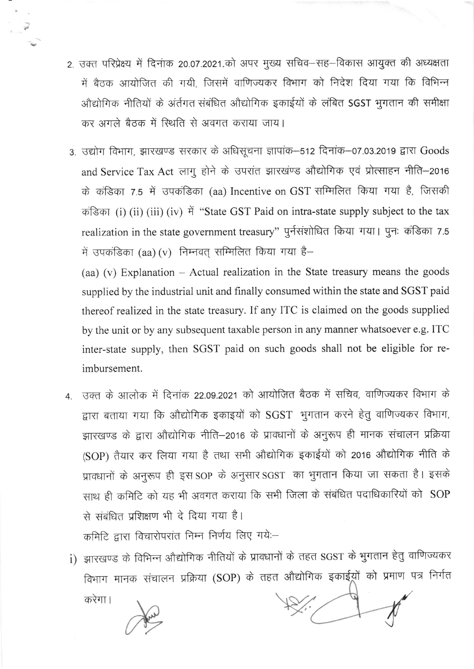- 2. उक्त परिप्रेक्ष्य में दिनांक 20.07.2021.को अपर मुख्य सचिव–सह–विकास आयुक्त की अध्यक्षता में बैठक आयोजित की गयी, जिसमें वाणिज्यकर विभाग को निदेश दिया गया कि विभिन्न ओद्योगिक नीतियों के अंर्तगत संबंधित औद्योगिक इकाईयों के लंबित SGST भूगतान की समीक्षा कर अगले बैठक में स्थिति से अवगत कराया जाय।
- 3. उद्योग विभाग, झारखण्ड सरकार के अधिसूचना ज्ञापांक–512 दिनांक–07.03.2019 द्वारा Goods and Service Tax Act लागु होने के उपरांत झारखंण्ड औद्योगिक एवं प्रोत्साहन नीति-2016 के कंडिका 7.5 में उपकंडिका (aa) Incentive on GST सम्मिलित किया गया है, जिसकी कड़िका (i) (ii) (iii) (iv) में "State GST Paid on intra-state supply subject to the tax realization in the state government treasury" पुर्नसंशोधित किया गया। पुनः कंडिका 7.5 में उपकंडिका (aa) (v) निम्नवत् सम्मिलित किया गया है-

(aa) (v) Explanation - Actual realization in the State treasury means the goods supplied by the industrial unit and finally consumed within the state and SGST paid thereof realized in the state treasury. If any ITC is claimed on the goods supplied by the unit or by any subsequent taxable person in any manner whatsoever e.g. ITC inter-state supply, then SGST paid on such goods shall not be eligible for reimbursement.

4. उक्त के आलोक में दिनांक 22.09.2021 को आयोजित बैठक में सचिव, वाणिज्यकर विभाग के द्वारा बताया गया कि औद्योगिक इकाइयों को SGST भुगतान करने हेतु वाणिज्यकर विभाग, झारखण्ड के द्वारा औद्योगिक नीति–2016 के प्रावधानों के अनुरूप ही मानक संचालन प्रक्रिया (SOP) तैयार कर लिया गया है तथा सभी औद्योगिक इकाईयों को 2016 औद्योगिक नीति के प्रावधानों के अनुरूप ही इस SOP के अनुसार SGST का भुगतान किया जा सकता है। इसके साथ ही कमिटि को यह भी अवगत कराया कि सभी जिला के संबंधित पदाधिकारियों को SOP से संबंधित प्रशिक्षण भी दे दिया गया है। कमिटि द्वारा विचारोपरांत निम्न निर्णय लिए गये:-

i) झारखण्ड के विभिन्न औद्योगिक नीतियों के प्रावधानों के तहत SGST के भुगतान हेतु वाणिज्यकर

विभाग मानक संचालन प्रक्रिया (SOP) के तहत औद्योगिक इकाईय़ों को प्रमाण पत्र निर्गत करेगा।